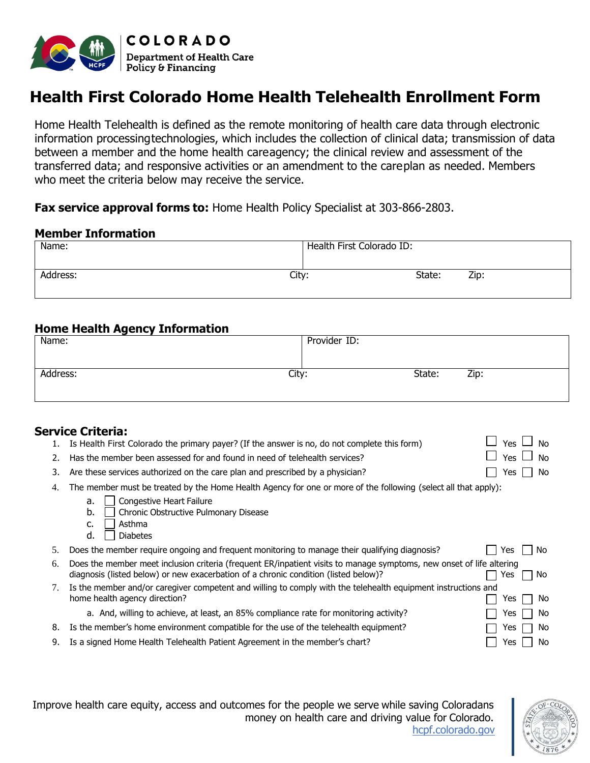

# **Health First Colorado Home Health Telehealth Enrollment Form**

Home Health Telehealth is defined as the remote monitoring of health care data through electronic information processingtechnologies, which includes the collection of clinical data; transmission of data between a member and the home health careagency; the clinical review and assessment of the transferred data; and responsive activities or an amendment to the careplan as needed. Members who meet the criteria below may receive the service.

#### **Fax service approval forms to:** Home Health Policy Specialist at 303-866-2803.

#### **Member Information**

| Name:             | Health First Colorado ID: |
|-------------------|---------------------------|
|                   |                           |
| Address:<br>City: | State:<br>Zip:            |
|                   |                           |

### **Home Health Agency Information**

| Name:    | Provider ID: |        |      |  |
|----------|--------------|--------|------|--|
|          |              |        |      |  |
| Address: | City:        | State: | Zip: |  |
|          |              |        |      |  |

### **Service Criteria:**

|    | Is Health First Colorado the primary payer? (If the answer is no, do not complete this form)                                                                                                                | <b>Yes</b><br>No |  |  |
|----|-------------------------------------------------------------------------------------------------------------------------------------------------------------------------------------------------------------|------------------|--|--|
| 2. | Has the member been assessed for and found in need of telehealth services?                                                                                                                                  | Yes<br>No        |  |  |
| 3. | Are these services authorized on the care plan and prescribed by a physician?                                                                                                                               | No<br>Yes        |  |  |
| 4. | The member must be treated by the Home Health Agency for one or more of the following (select all that apply):                                                                                              |                  |  |  |
|    | <b>Congestive Heart Failure</b><br>a.                                                                                                                                                                       |                  |  |  |
|    | b.<br>Chronic Obstructive Pulmonary Disease                                                                                                                                                                 |                  |  |  |
|    | Asthma<br>c.                                                                                                                                                                                                |                  |  |  |
|    | d.<br><b>Diabetes</b>                                                                                                                                                                                       |                  |  |  |
|    |                                                                                                                                                                                                             |                  |  |  |
| 5. | Does the member require ongoing and frequent monitoring to manage their qualifying diagnosis?                                                                                                               | No<br>Yes.       |  |  |
| 6. | Does the member meet inclusion criteria (frequent ER/inpatient visits to manage symptoms, new onset of life altering<br>diagnosis (listed below) or new exacerbation of a chronic condition (listed below)? | No.<br>Yes       |  |  |
| 7. | Is the member and/or caregiver competent and willing to comply with the telehealth equipment instructions and                                                                                               |                  |  |  |
|    | home health agency direction?                                                                                                                                                                               | No.<br>Yes       |  |  |
|    | a. And, willing to achieve, at least, an 85% compliance rate for monitoring activity?                                                                                                                       | No.<br>Yes       |  |  |
| 8. | Is the member's home environment compatible for the use of the telehealth equipment?                                                                                                                        | No.<br>Yes       |  |  |

Improve health care equity, access and outcomes for the people we serve while saving Coloradans money on health care and driving value for Colorado. [hcpf.colorado.gov](https://hcpf.colorado.gov/)